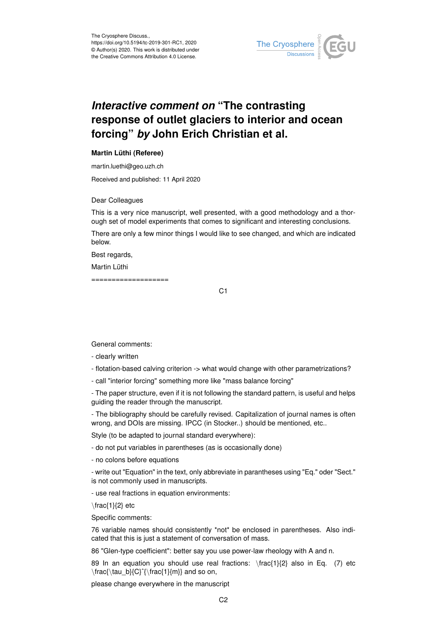

## *Interactive comment on* **"The contrasting response of outlet glaciers to interior and ocean forcing"** *by* **John Erich Christian et al.**

## **Martin Lüthi (Referee)**

martin.luethi@geo.uzh.ch

Received and published: 11 April 2020

Dear Colleagues

This is a very nice manuscript, well presented, with a good methodology and a thorough set of model experiments that comes to significant and interesting conclusions.

There are only a few minor things I would like to see changed, and which are indicated below.

Best regards,

Martin Lüthi

===================

C1

General comments:

- clearly written
- flotation-based calving criterion -> what would change with other parametrizations?

- call "interior forcing" something more like "mass balance forcing"

- The paper structure, even if it is not following the standard pattern, is useful and helps guiding the reader through the manuscript.

- The bibliography should be carefully revised. Capitalization of journal names is often wrong, and DOIs are missing. IPCC (in Stocker..) should be mentioned, etc..

Style (to be adapted to journal standard everywhere):

- do not put variables in parentheses (as is occasionally done)

- no colons before equations

- write out "Equation" in the text, only abbreviate in parantheses using "Eq." oder "Sect." is not commonly used in manuscripts.

- use real fractions in equation environments:

 $\frac{1}{2}$  etc

Specific comments:

76 variable names should consistently \*not\* be enclosed in parentheses. Also indicated that this is just a statement of conversation of mass.

86 "Glen-type coefficient": better say you use power-law rheology with A and n.

89 In an equation you should use real fractions: \frac{1}{2} also in Eq. (7) etc \frac{\tau\_b}{C}ˆ{\frac{1}{m}} and so on,

please change everywhere in the manuscript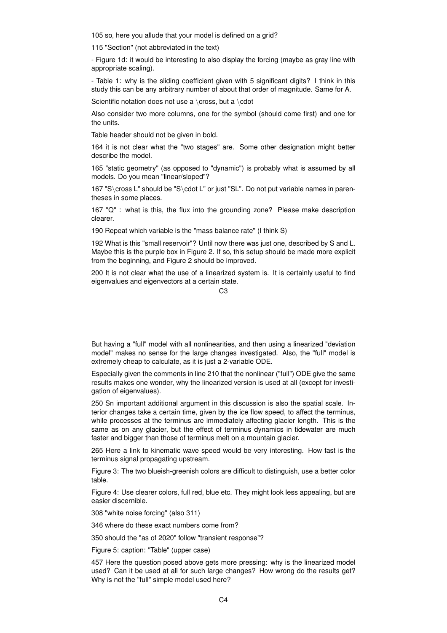105 so, here you allude that your model is defined on a grid?

115 "Section" (not abbreviated in the text)

- Figure 1d: it would be interesting to also display the forcing (maybe as gray line with appropriate scaling).

- Table 1: why is the sliding coefficient given with 5 significant digits? I think in this study this can be any arbitrary number of about that order of magnitude. Same for A.

Scientific notation does not use a \cross, but a \cdot

Also consider two more columns, one for the symbol (should come first) and one for the units.

Table header should not be given in bold.

164 it is not clear what the "two stages" are. Some other designation might better describe the model.

165 "static geometry" (as opposed to "dynamic") is probably what is assumed by all models. Do you mean "linear/sloped"?

167 "S\cross L" should be "S\cdot L" or just "SL". Do not put variable names in parentheses in some places.

167 "Q" : what is this, the flux into the grounding zone? Please make description clearer.

190 Repeat which variable is the "mass balance rate" (I think S)

192 What is this "small reservoir"? Until now there was just one, described by S and L. Maybe this is the purple box in Figure 2. If so, this setup should be made more explicit from the beginning, and Figure 2 should be improved.

200 It is not clear what the use of a linearized system is. It is certainly useful to find eigenvalues and eigenvectors at a certain state.

But having a "full" model with all nonlinearities, and then using a linearized "deviation model" makes no sense for the large changes investigated. Also, the "full" model is extremely cheap to calculate, as it is just a 2-variable ODE.

Especially given the comments in line 210 that the nonlinear ("full") ODE give the same results makes one wonder, why the linearized version is used at all (except for investigation of eigenvalues).

250 Sn important additional argument in this discussion is also the spatial scale. Interior changes take a certain time, given by the ice flow speed, to affect the terminus, while processes at the terminus are immediately affecting glacier length. This is the same as on any glacier, but the effect of terminus dynamics in tidewater are much faster and bigger than those of terminus melt on a mountain glacier.

265 Here a link to kinematic wave speed would be very interesting. How fast is the terminus signal propagating upstream.

Figure 3: The two blueish-greenish colors are difficult to distinguish, use a better color table.

Figure 4: Use clearer colors, full red, blue etc. They might look less appealing, but are easier discernible.

308 "white noise forcing" (also 311)

346 where do these exact numbers come from?

350 should the "as of 2020" follow "transient response"?

Figure 5: caption: "Table" (upper case)

457 Here the question posed above gets more pressing: why is the linearized model used? Can it be used at all for such large changes? How wrong do the results get? Why is not the "full" simple model used here?

 $C<sub>3</sub>$